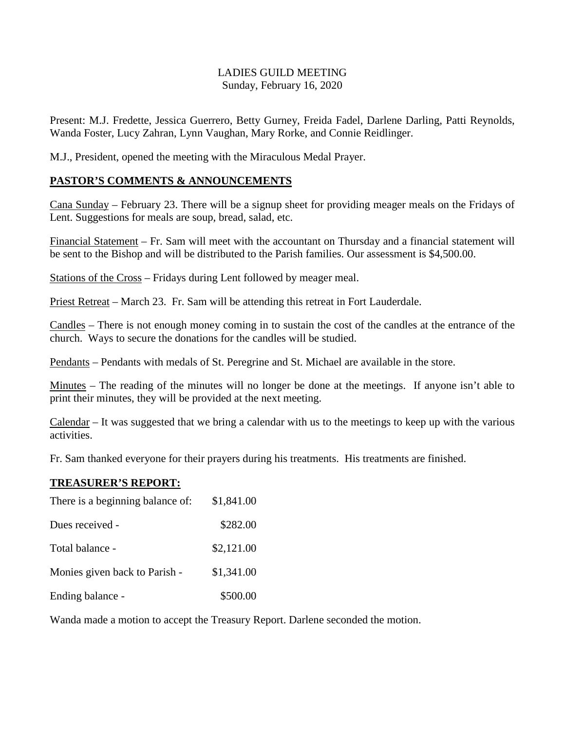# LADIES GUILD MEETING Sunday, February 16, 2020

Present: M.J. Fredette, Jessica Guerrero, Betty Gurney, Freida Fadel, Darlene Darling, Patti Reynolds, Wanda Foster, Lucy Zahran, Lynn Vaughan, Mary Rorke, and Connie Reidlinger.

M.J., President, opened the meeting with the Miraculous Medal Prayer.

#### **PASTOR'S COMMENTS & ANNOUNCEMENTS**

Cana Sunday – February 23. There will be a signup sheet for providing meager meals on the Fridays of Lent. Suggestions for meals are soup, bread, salad, etc.

Financial Statement – Fr. Sam will meet with the accountant on Thursday and a financial statement will be sent to the Bishop and will be distributed to the Parish families. Our assessment is \$4,500.00.

Stations of the Cross – Fridays during Lent followed by meager meal.

Priest Retreat – March 23. Fr. Sam will be attending this retreat in Fort Lauderdale.

Candles – There is not enough money coming in to sustain the cost of the candles at the entrance of the church. Ways to secure the donations for the candles will be studied.

Pendants – Pendants with medals of St. Peregrine and St. Michael are available in the store.

Minutes – The reading of the minutes will no longer be done at the meetings. If anyone isn't able to print their minutes, they will be provided at the next meeting.

Calendar – It was suggested that we bring a calendar with us to the meetings to keep up with the various activities.

Fr. Sam thanked everyone for their prayers during his treatments. His treatments are finished.

#### **TREASURER'S REPORT:**

| There is a beginning balance of: | \$1,841.00 |
|----------------------------------|------------|
| Dues received -                  | \$282.00   |
| Total balance -                  | \$2,121.00 |
| Monies given back to Parish -    | \$1,341.00 |
| Ending balance -                 | \$500.00   |

Wanda made a motion to accept the Treasury Report. Darlene seconded the motion.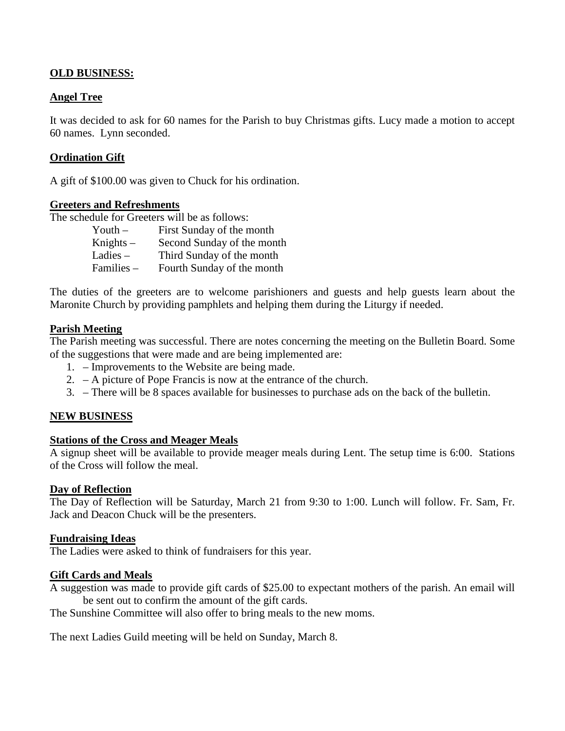# **OLD BUSINESS:**

## **Angel Tree**

It was decided to ask for 60 names for the Parish to buy Christmas gifts. Lucy made a motion to accept 60 names. Lynn seconded.

## **Ordination Gift**

A gift of \$100.00 was given to Chuck for his ordination.

#### **Greeters and Refreshments**

The schedule for Greeters will be as follows:

| Youth $-$   | First Sunday of the month  |
|-------------|----------------------------|
| Knights $-$ | Second Sunday of the month |
| Ladies $-$  | Third Sunday of the month  |
| Families -  | Fourth Sunday of the month |

The duties of the greeters are to welcome parishioners and guests and help guests learn about the Maronite Church by providing pamphlets and helping them during the Liturgy if needed.

#### **Parish Meeting**

The Parish meeting was successful. There are notes concerning the meeting on the Bulletin Board. Some of the suggestions that were made and are being implemented are:

- 1. Improvements to the Website are being made.
- 2. A picture of Pope Francis is now at the entrance of the church.
- 3. There will be 8 spaces available for businesses to purchase ads on the back of the bulletin.

#### **NEW BUSINESS**

#### **Stations of the Cross and Meager Meals**

A signup sheet will be available to provide meager meals during Lent. The setup time is 6:00. Stations of the Cross will follow the meal.

#### **Day of Reflection**

The Day of Reflection will be Saturday, March 21 from 9:30 to 1:00. Lunch will follow. Fr. Sam, Fr. Jack and Deacon Chuck will be the presenters.

#### **Fundraising Ideas**

The Ladies were asked to think of fundraisers for this year.

#### **Gift Cards and Meals**

A suggestion was made to provide gift cards of \$25.00 to expectant mothers of the parish. An email will be sent out to confirm the amount of the gift cards.

The Sunshine Committee will also offer to bring meals to the new moms.

The next Ladies Guild meeting will be held on Sunday, March 8.